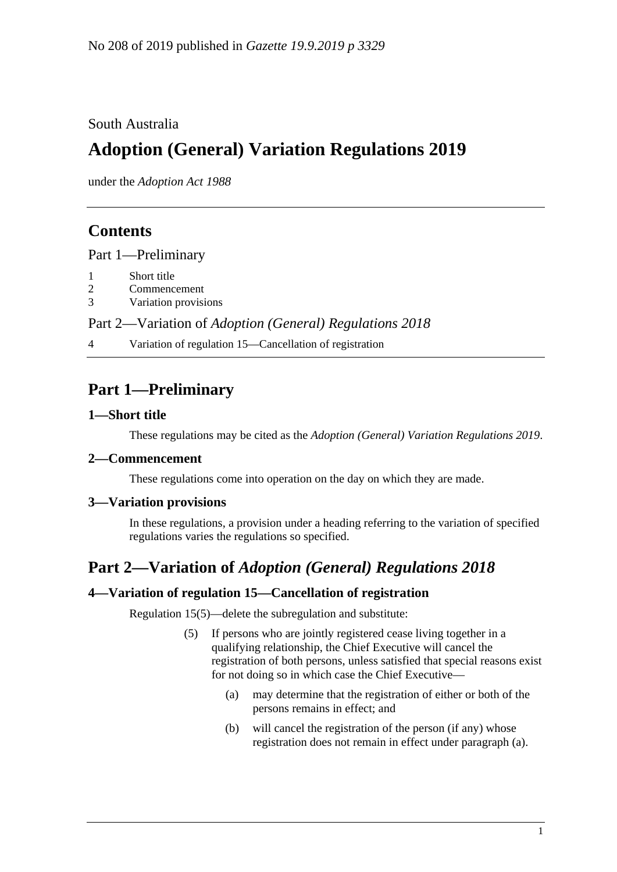### South Australia

# **Adoption (General) Variation Regulations 2019**

under the *Adoption Act 1988*

### **Contents**

Part [1—Preliminary](#page-0-0)

- 1 [Short title](#page-0-1)
- 2 [Commencement](#page-0-2)
- 3 [Variation provisions](#page-0-3)

Part 2—Variation of *[Adoption \(General\) Regulations 2018](#page-0-4)*

4 [Variation of regulation 15—Cancellation of registration](#page-0-5)

## <span id="page-0-0"></span>**Part 1—Preliminary**

#### <span id="page-0-1"></span>**1—Short title**

These regulations may be cited as the *Adoption (General) Variation Regulations 2019*.

#### <span id="page-0-2"></span>**2—Commencement**

These regulations come into operation on the day on which they are made.

#### <span id="page-0-3"></span>**3—Variation provisions**

In these regulations, a provision under a heading referring to the variation of specified regulations varies the regulations so specified.

### <span id="page-0-4"></span>**Part 2—Variation of** *Adoption (General) Regulations 2018*

#### <span id="page-0-5"></span>**4—Variation of regulation 15—Cancellation of registration**

<span id="page-0-6"></span>Regulation 15(5)—delete the subregulation and substitute:

- (5) If persons who are jointly registered cease living together in a qualifying relationship, the Chief Executive will cancel the registration of both persons, unless satisfied that special reasons exist for not doing so in which case the Chief Executive—
	- (a) may determine that the registration of either or both of the persons remains in effect; and
	- (b) will cancel the registration of the person (if any) whose registration does not remain in effect under [paragraph](#page-0-6) (a).